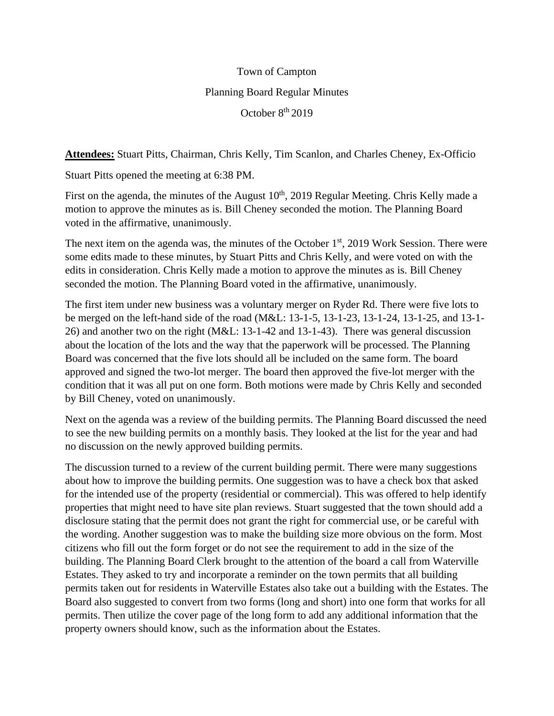## Town of Campton Planning Board Regular Minutes October 8<sup>th</sup> 2019

**Attendees:** Stuart Pitts, Chairman, Chris Kelly, Tim Scanlon, and Charles Cheney, Ex-Officio

Stuart Pitts opened the meeting at 6:38 PM.

First on the agenda, the minutes of the August  $10<sup>th</sup>$ , 2019 Regular Meeting. Chris Kelly made a motion to approve the minutes as is. Bill Cheney seconded the motion. The Planning Board voted in the affirmative, unanimously.

The next item on the agenda was, the minutes of the October 1<sup>st</sup>, 2019 Work Session. There were some edits made to these minutes, by Stuart Pitts and Chris Kelly, and were voted on with the edits in consideration. Chris Kelly made a motion to approve the minutes as is. Bill Cheney seconded the motion. The Planning Board voted in the affirmative, unanimously.

The first item under new business was a voluntary merger on Ryder Rd. There were five lots to be merged on the left-hand side of the road (M&L: 13-1-5, 13-1-23, 13-1-24, 13-1-25, and 13-1- 26) and another two on the right (M&L: 13-1-42 and 13-1-43). There was general discussion about the location of the lots and the way that the paperwork will be processed. The Planning Board was concerned that the five lots should all be included on the same form. The board approved and signed the two-lot merger. The board then approved the five-lot merger with the condition that it was all put on one form. Both motions were made by Chris Kelly and seconded by Bill Cheney, voted on unanimously.

Next on the agenda was a review of the building permits. The Planning Board discussed the need to see the new building permits on a monthly basis. They looked at the list for the year and had no discussion on the newly approved building permits.

The discussion turned to a review of the current building permit. There were many suggestions about how to improve the building permits. One suggestion was to have a check box that asked for the intended use of the property (residential or commercial). This was offered to help identify properties that might need to have site plan reviews. Stuart suggested that the town should add a disclosure stating that the permit does not grant the right for commercial use, or be careful with the wording. Another suggestion was to make the building size more obvious on the form. Most citizens who fill out the form forget or do not see the requirement to add in the size of the building. The Planning Board Clerk brought to the attention of the board a call from Waterville Estates. They asked to try and incorporate a reminder on the town permits that all building permits taken out for residents in Waterville Estates also take out a building with the Estates. The Board also suggested to convert from two forms (long and short) into one form that works for all permits. Then utilize the cover page of the long form to add any additional information that the property owners should know, such as the information about the Estates.